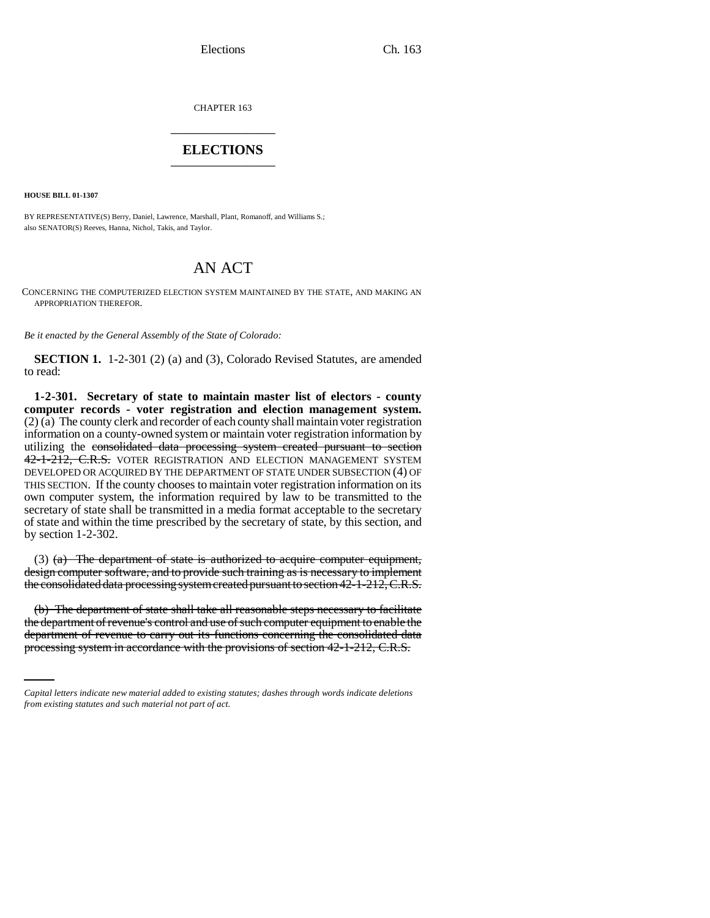Elections Ch. 163

CHAPTER 163 \_\_\_\_\_\_\_\_\_\_\_\_\_\_\_

### **ELECTIONS** \_\_\_\_\_\_\_\_\_\_\_\_\_\_\_

**HOUSE BILL 01-1307**

BY REPRESENTATIVE(S) Berry, Daniel, Lawrence, Marshall, Plant, Romanoff, and Williams S.; also SENATOR(S) Reeves, Hanna, Nichol, Takis, and Taylor.

# AN ACT

CONCERNING THE COMPUTERIZED ELECTION SYSTEM MAINTAINED BY THE STATE, AND MAKING AN APPROPRIATION THEREFOR.

*Be it enacted by the General Assembly of the State of Colorado:*

**SECTION 1.** 1-2-301 (2) (a) and (3), Colorado Revised Statutes, are amended to read:

**1-2-301. Secretary of state to maintain master list of electors - county computer records - voter registration and election management system.** (2) (a) The county clerk and recorder of each county shall maintain voter registration information on a county-owned system or maintain voter registration information by utilizing the consolidated data processing system created pursuant to section 42-1-212, C.R.S. VOTER REGISTRATION AND ELECTION MANAGEMENT SYSTEM DEVELOPED OR ACQUIRED BY THE DEPARTMENT OF STATE UNDER SUBSECTION (4) OF THIS SECTION. If the county chooses to maintain voter registration information on its own computer system, the information required by law to be transmitted to the secretary of state shall be transmitted in a media format acceptable to the secretary of state and within the time prescribed by the secretary of state, by this section, and by section 1-2-302.

(3) (a) The department of state is authorized to acquire computer equipment, design computer software, and to provide such training as is necessary to implement the consolidated data processing system created pursuant to section 42-1-212, C.R.S.

the department of revenue's control and use of such computer equipment to enable the (b) The department of state shall take all reasonable steps necessary to facilitate department of revenue to carry out its functions concerning the consolidated data processing system in accordance with the provisions of section 42-1-212, C.R.S.

*Capital letters indicate new material added to existing statutes; dashes through words indicate deletions from existing statutes and such material not part of act.*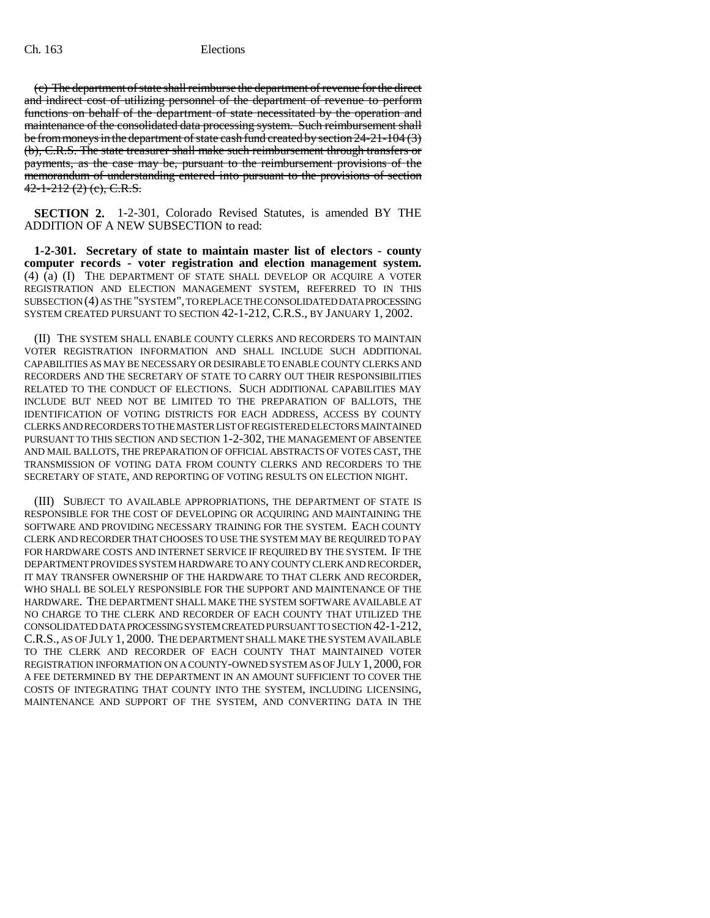(c) The department of state shall reimburse the department of revenue for the direct and indirect cost of utilizing personnel of the department of revenue to perform functions on behalf of the department of state necessitated by the operation and maintenance of the consolidated data processing system. Such reimbursement shall be from moneys in the department of state cash fund created by section 24-21-104 (3) (b), C.R.S. The state treasurer shall make such reimbursement through transfers or payments, as the case may be, pursuant to the reimbursement provisions of the memorandum of understanding entered into pursuant to the provisions of section  $42 - 1 - 212$  (2) (e), C.R.S.

**SECTION 2.** 1-2-301, Colorado Revised Statutes, is amended BY THE ADDITION OF A NEW SUBSECTION to read:

**1-2-301. Secretary of state to maintain master list of electors - county computer records - voter registration and election management system.** (4) (a) (I) THE DEPARTMENT OF STATE SHALL DEVELOP OR ACQUIRE A VOTER REGISTRATION AND ELECTION MANAGEMENT SYSTEM, REFERRED TO IN THIS SUBSECTION (4) AS THE "SYSTEM", TO REPLACE THE CONSOLIDATED DATA PROCESSING SYSTEM CREATED PURSUANT TO SECTION 42-1-212, C.R.S., BY JANUARY 1, 2002.

(II) THE SYSTEM SHALL ENABLE COUNTY CLERKS AND RECORDERS TO MAINTAIN VOTER REGISTRATION INFORMATION AND SHALL INCLUDE SUCH ADDITIONAL CAPABILITIES AS MAY BE NECESSARY OR DESIRABLE TO ENABLE COUNTY CLERKS AND RECORDERS AND THE SECRETARY OF STATE TO CARRY OUT THEIR RESPONSIBILITIES RELATED TO THE CONDUCT OF ELECTIONS. SUCH ADDITIONAL CAPABILITIES MAY INCLUDE BUT NEED NOT BE LIMITED TO THE PREPARATION OF BALLOTS, THE IDENTIFICATION OF VOTING DISTRICTS FOR EACH ADDRESS, ACCESS BY COUNTY CLERKS AND RECORDERS TO THE MASTER LIST OF REGISTERED ELECTORS MAINTAINED PURSUANT TO THIS SECTION AND SECTION 1-2-302, THE MANAGEMENT OF ABSENTEE AND MAIL BALLOTS, THE PREPARATION OF OFFICIAL ABSTRACTS OF VOTES CAST, THE TRANSMISSION OF VOTING DATA FROM COUNTY CLERKS AND RECORDERS TO THE SECRETARY OF STATE, AND REPORTING OF VOTING RESULTS ON ELECTION NIGHT.

(III) SUBJECT TO AVAILABLE APPROPRIATIONS, THE DEPARTMENT OF STATE IS RESPONSIBLE FOR THE COST OF DEVELOPING OR ACQUIRING AND MAINTAINING THE SOFTWARE AND PROVIDING NECESSARY TRAINING FOR THE SYSTEM. EACH COUNTY CLERK AND RECORDER THAT CHOOSES TO USE THE SYSTEM MAY BE REQUIRED TO PAY FOR HARDWARE COSTS AND INTERNET SERVICE IF REQUIRED BY THE SYSTEM. IF THE DEPARTMENT PROVIDES SYSTEM HARDWARE TO ANY COUNTY CLERK AND RECORDER, IT MAY TRANSFER OWNERSHIP OF THE HARDWARE TO THAT CLERK AND RECORDER, WHO SHALL BE SOLELY RESPONSIBLE FOR THE SUPPORT AND MAINTENANCE OF THE HARDWARE. THE DEPARTMENT SHALL MAKE THE SYSTEM SOFTWARE AVAILABLE AT NO CHARGE TO THE CLERK AND RECORDER OF EACH COUNTY THAT UTILIZED THE CONSOLIDATED DATA PROCESSING SYSTEM CREATED PURSUANT TO SECTION 42-1-212, C.R.S., AS OF JULY 1, 2000. THE DEPARTMENT SHALL MAKE THE SYSTEM AVAILABLE TO THE CLERK AND RECORDER OF EACH COUNTY THAT MAINTAINED VOTER REGISTRATION INFORMATION ON A COUNTY-OWNED SYSTEM AS OF JULY 1, 2000, FOR A FEE DETERMINED BY THE DEPARTMENT IN AN AMOUNT SUFFICIENT TO COVER THE COSTS OF INTEGRATING THAT COUNTY INTO THE SYSTEM, INCLUDING LICENSING, MAINTENANCE AND SUPPORT OF THE SYSTEM, AND CONVERTING DATA IN THE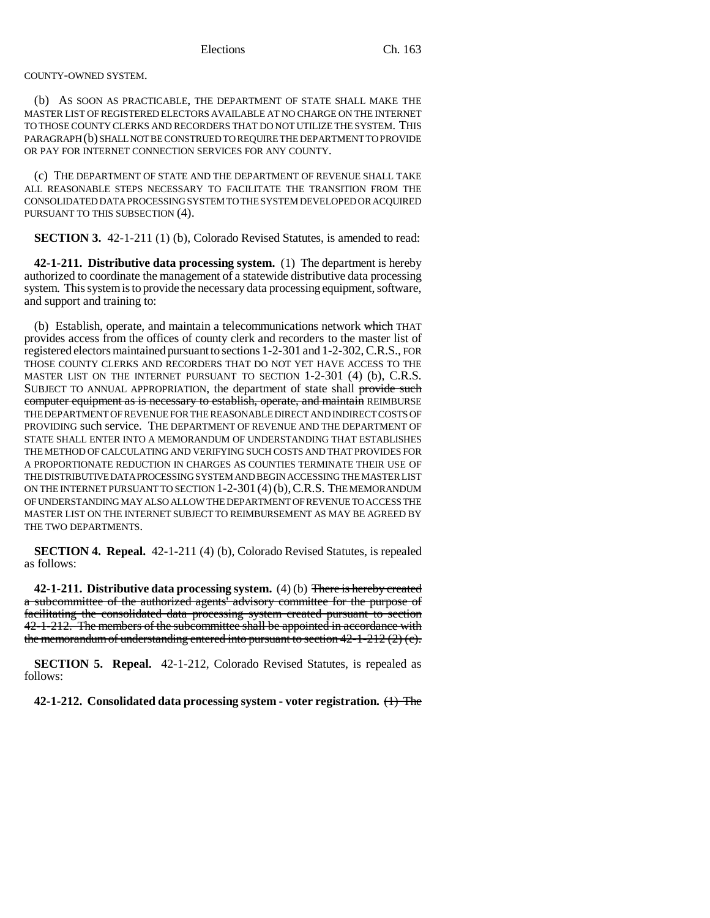#### COUNTY-OWNED SYSTEM.

(b) AS SOON AS PRACTICABLE, THE DEPARTMENT OF STATE SHALL MAKE THE MASTER LIST OF REGISTERED ELECTORS AVAILABLE AT NO CHARGE ON THE INTERNET TO THOSE COUNTY CLERKS AND RECORDERS THAT DO NOT UTILIZE THE SYSTEM. THIS PARAGRAPH (b) SHALL NOT BE CONSTRUED TO REQUIRE THE DEPARTMENT TO PROVIDE OR PAY FOR INTERNET CONNECTION SERVICES FOR ANY COUNTY.

(c) THE DEPARTMENT OF STATE AND THE DEPARTMENT OF REVENUE SHALL TAKE ALL REASONABLE STEPS NECESSARY TO FACILITATE THE TRANSITION FROM THE CONSOLIDATED DATA PROCESSING SYSTEM TO THE SYSTEM DEVELOPED OR ACQUIRED PURSUANT TO THIS SUBSECTION (4).

**SECTION 3.** 42-1-211 (1) (b), Colorado Revised Statutes, is amended to read:

**42-1-211. Distributive data processing system.** (1) The department is hereby authorized to coordinate the management of a statewide distributive data processing system. This system is to provide the necessary data processing equipment, software, and support and training to:

(b) Establish, operate, and maintain a telecommunications network which THAT provides access from the offices of county clerk and recorders to the master list of registered electors maintained pursuant to sections 1-2-301 and 1-2-302, C.R.S., FOR THOSE COUNTY CLERKS AND RECORDERS THAT DO NOT YET HAVE ACCESS TO THE MASTER LIST ON THE INTERNET PURSUANT TO SECTION 1-2-301 (4) (b), C.R.S. SUBJECT TO ANNUAL APPROPRIATION, the department of state shall provide such computer equipment as is necessary to establish, operate, and maintain REIMBURSE THE DEPARTMENT OF REVENUE FOR THE REASONABLE DIRECT AND INDIRECT COSTS OF PROVIDING such service. THE DEPARTMENT OF REVENUE AND THE DEPARTMENT OF STATE SHALL ENTER INTO A MEMORANDUM OF UNDERSTANDING THAT ESTABLISHES THE METHOD OF CALCULATING AND VERIFYING SUCH COSTS AND THAT PROVIDES FOR A PROPORTIONATE REDUCTION IN CHARGES AS COUNTIES TERMINATE THEIR USE OF THE DISTRIBUTIVE DATA PROCESSING SYSTEM AND BEGIN ACCESSING THE MASTER LIST ON THE INTERNET PURSUANT TO SECTION 1-2-301 (4)(b),C.R.S. THE MEMORANDUM OF UNDERSTANDING MAY ALSO ALLOW THE DEPARTMENT OF REVENUE TO ACCESS THE MASTER LIST ON THE INTERNET SUBJECT TO REIMBURSEMENT AS MAY BE AGREED BY THE TWO DEPARTMENTS.

**SECTION 4. Repeal.** 42-1-211 (4) (b), Colorado Revised Statutes, is repealed as follows:

**42-1-211. Distributive data processing system.** (4) (b) There is hereby created a subcommittee of the authorized agents' advisory committee for the purpose of facilitating the consolidated data processing system created pursuant to section 42-1-212. The members of the subcommittee shall be appointed in accordance with the memorandum of understanding entered into pursuant to section  $42-1-212(2)(e)$ .

**SECTION 5. Repeal.** 42-1-212, Colorado Revised Statutes, is repealed as follows:

**42-1-212. Consolidated data processing system - voter registration.** (1) The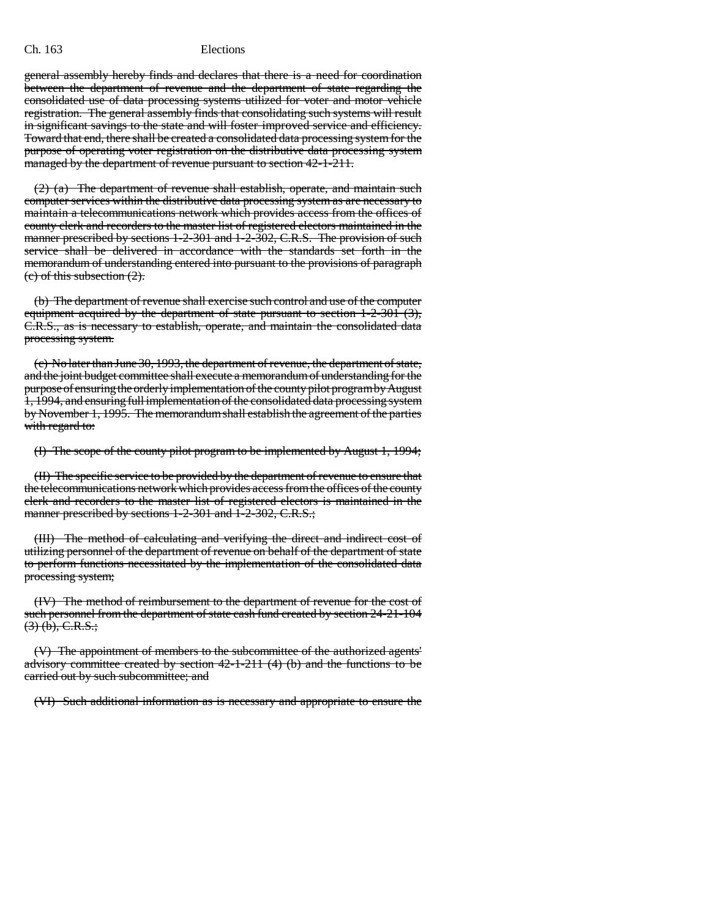#### Ch. 163 Elections

general assembly hereby finds and declares that there is a need for coordination between the department of revenue and the department of state regarding the consolidated use of data processing systems utilized for voter and motor vehicle registration. The general assembly finds that consolidating such systems will result in significant savings to the state and will foster improved service and efficiency. Toward that end, there shall be created a consolidated data processing system for the purpose of operating voter registration on the distributive data processing system managed by the department of revenue pursuant to section 42-1-211.

(2) (a) The department of revenue shall establish, operate, and maintain such computer services within the distributive data processing system as are necessary to maintain a telecommunications network which provides access from the offices of county clerk and recorders to the master list of registered electors maintained in the manner prescribed by sections 1-2-301 and 1-2-302, C.R.S. The provision of such service shall be delivered in accordance with the standards set forth in the memorandum of understanding entered into pursuant to the provisions of paragraph (c) of this subsection (2).

(b) The department of revenue shall exercise such control and use of the computer equipment acquired by the department of state pursuant to section 1-2-301 (3), C.R.S., as is necessary to establish, operate, and maintain the consolidated data processing system.

(c) No later than June 30, 1993, the department of revenue, the department of state, and the joint budget committee shall execute a memorandum of understanding for the purpose of ensuring the orderly implementation of the county pilot program by August 1, 1994, and ensuring full implementation of the consolidated data processing system by November 1, 1995. The memorandum shall establish the agreement of the parties with regard to:

(I) The scope of the county pilot program to be implemented by August 1, 1994;

(II) The specific service to be provided by the department of revenue to ensure that the telecommunications network which provides access from the offices of the county clerk and recorders to the master list of registered electors is maintained in the manner prescribed by sections 1-2-301 and 1-2-302, C.R.S.;

(III) The method of calculating and verifying the direct and indirect cost of utilizing personnel of the department of revenue on behalf of the department of state to perform functions necessitated by the implementation of the consolidated data processing system;

(IV) The method of reimbursement to the department of revenue for the cost of such personnel from the department of state cash fund created by section 24-21-104  $(3)$  (b), C.R.S.;

(V) The appointment of members to the subcommittee of the authorized agents' advisory committee created by section  $42-1-211$  (4) (b) and the functions to be carried out by such subcommittee; and

(VI) Such additional information as is necessary and appropriate to ensure the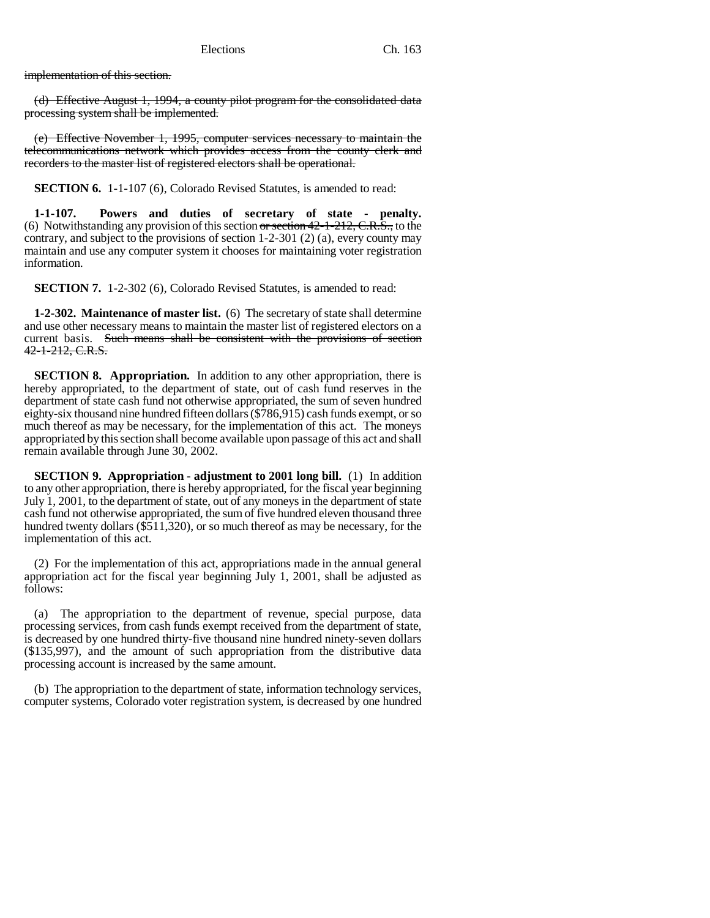implementation of this section.

(d) Effective August 1, 1994, a county pilot program for the consolidated data processing system shall be implemented.

(e) Effective November 1, 1995, computer services necessary to maintain the telecommunications network which provides access from the county clerk and recorders to the master list of registered electors shall be operational.

**SECTION 6.** 1-1-107 (6), Colorado Revised Statutes, is amended to read:

**1-1-107. Powers and duties of secretary of state - penalty.** (6) Notwithstanding any provision of this section or section  $42$ -1-212, C.R.S., to the contrary, and subject to the provisions of section 1-2-301 (2) (a), every county may maintain and use any computer system it chooses for maintaining voter registration information.

**SECTION 7.** 1-2-302 (6), Colorado Revised Statutes, is amended to read:

**1-2-302. Maintenance of master list.** (6) The secretary of state shall determine and use other necessary means to maintain the master list of registered electors on a current basis. Such means shall be consistent with the provisions of section 42-1-212, C.R.S.

**SECTION 8. Appropriation.** In addition to any other appropriation, there is hereby appropriated, to the department of state, out of cash fund reserves in the department of state cash fund not otherwise appropriated, the sum of seven hundred eighty-six thousand nine hundred fifteen dollars (\$786,915) cash funds exempt, or so much thereof as may be necessary, for the implementation of this act. The moneys appropriated by this section shall become available upon passage of this act and shall remain available through June 30, 2002.

**SECTION 9. Appropriation - adjustment to 2001 long bill.** (1) In addition to any other appropriation, there is hereby appropriated, for the fiscal year beginning July 1, 2001, to the department of state, out of any moneys in the department of state cash fund not otherwise appropriated, the sum of five hundred eleven thousand three hundred twenty dollars (\$511,320), or so much thereof as may be necessary, for the implementation of this act.

(2) For the implementation of this act, appropriations made in the annual general appropriation act for the fiscal year beginning July 1, 2001, shall be adjusted as follows:

(a) The appropriation to the department of revenue, special purpose, data processing services, from cash funds exempt received from the department of state, is decreased by one hundred thirty-five thousand nine hundred ninety-seven dollars (\$135,997), and the amount of such appropriation from the distributive data processing account is increased by the same amount.

(b) The appropriation to the department of state, information technology services, computer systems, Colorado voter registration system, is decreased by one hundred